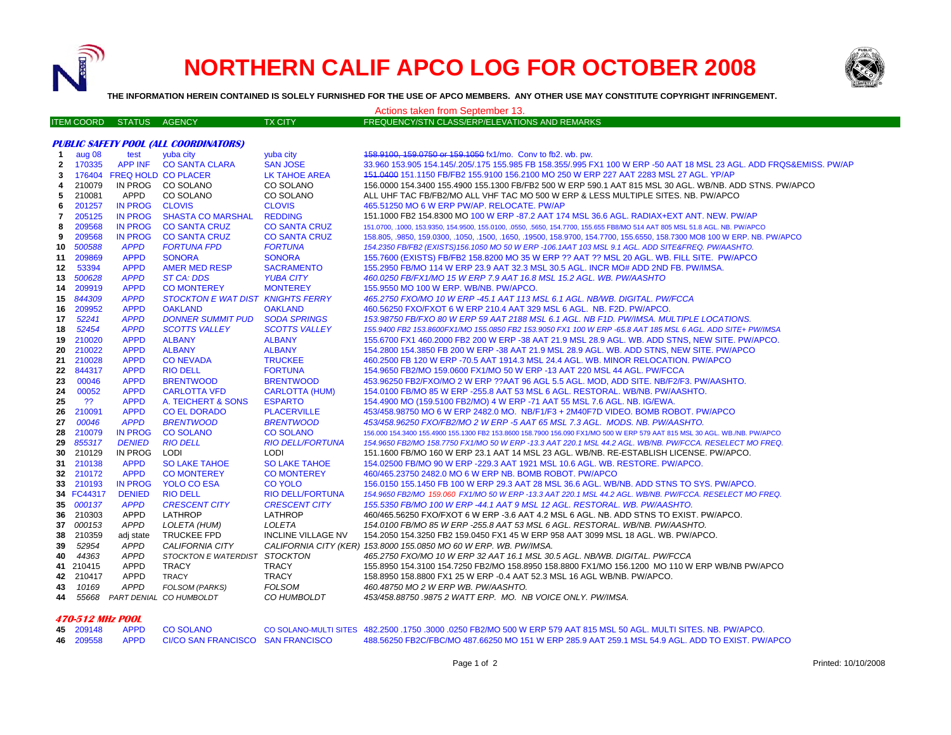

## **NORTHERN CALIF APCO LOG FOR OCTOBER 2008**



**THE INFORMATION HEREIN CONTAINED IS SOLELY FURNISHED FOR THE USE OF APCO MEMBERS. ANY OTHER USE MAY CONSTITUTE COPYRIGHT INFRINGEMENT.**

| Actions taken from September 13.             |                   |                            |                                   |                           |                                                                                                                             |  |  |  |  |
|----------------------------------------------|-------------------|----------------------------|-----------------------------------|---------------------------|-----------------------------------------------------------------------------------------------------------------------------|--|--|--|--|
|                                              | <b>ITEM COORD</b> | <b>STATUS</b>              | <b>AGENCY</b>                     | <b>TX CITY</b>            | FREQUENCY/STN CLASS/ERP/ELEVATIONS AND REMARKS                                                                              |  |  |  |  |
|                                              |                   |                            |                                   |                           |                                                                                                                             |  |  |  |  |
| <b>PUBLIC SAFETY POOL (ALL COORDINATORS)</b> |                   |                            |                                   |                           |                                                                                                                             |  |  |  |  |
| $\mathbf{1}$                                 | aug 08            | test                       | yuba city                         | yuba city                 | 458.9100, 159.0750 or 159.1050 fx1/mo. Conv to fb2. wb. pw.                                                                 |  |  |  |  |
| $\mathbf{2}$                                 | 170335            | APP INF                    | <b>CO SANTA CLARA</b>             | <b>SAN JOSE</b>           | 33.960 153.905 154.145/.205/.175 155.985 FB 158.355/.995 FX1 100 W ERP -50 AAT 18 MSL 23 AGL. ADD FRQS&EMISS. PW/AP         |  |  |  |  |
| 3                                            |                   | 176404 FREQ HOLD CO PLACER |                                   | LK TAHOE AREA             | 151,0400 151,1150 FB/FB2 155,9100 156,2100 MO 250 W ERP 227 AAT 2283 MSL 27 AGL, YP/AP                                      |  |  |  |  |
| 4                                            | 210079            |                            | IN PROG CO SOLANO                 | CO SOLANO                 | 156,0000 154,3400 155,4900 155,1300 FB/FB2 500 W ERP 590.1 AAT 815 MSL 30 AGL. WB/NB. ADD STNS. PW/APCO                     |  |  |  |  |
| 5                                            | 210081            | APPD                       | CO SOLANO                         | CO SOLANO                 | ALL UHF TAC FB/FB2/MO ALL VHF TAC MO 500 W ERP & LESS MULTIPLE SITES. NB. PW/APCO                                           |  |  |  |  |
| 6                                            | 201257            | <b>IN PROG</b>             | <b>CLOVIS</b>                     | <b>CLOVIS</b>             | 465.51250 MO 6 W ERP PW/AP. RELOCATE. PW/AP                                                                                 |  |  |  |  |
| 7                                            | 205125            | <b>IN PROG</b>             | <b>SHASTA CO MARSHAL</b>          | <b>REDDING</b>            | 151.1000 FB2 154.8300 MO 100 W ERP -87.2 AAT 174 MSL 36.6 AGL. RADIAX+EXT ANT. NEW. PW/AP                                   |  |  |  |  |
| 8                                            | 209568            | <b>IN PROG</b>             | <b>CO SANTA CRUZ</b>              | <b>CO SANTA CRUZ</b>      | 151.0700, .1000, 153.9350, 154.9500, 155.0100, .0550, .5650, 154.7700, 155.655 FB8/MO 514 AAT 805 MSL 51.8 AGL. NB. PW/APCO |  |  |  |  |
| 9                                            | 209568            | <b>IN PROG</b>             | <b>CO SANTA CRUZ</b>              | <b>CO SANTA CRUZ</b>      | 158.805, 9850, 159.0300, 1050, 1500, 1650, 19500, 158.9700, 154.7700, 155.6550, 158.7300 MO8 100 W ERP. NB. PW/APCO         |  |  |  |  |
| 10                                           | 500588            | <b>APPD</b>                | <b>FORTUNA FPD</b>                | <b>FORTUNA</b>            | 154.2350 FB/FB2 (EXISTS)156.1050 MO 50 W ERP -106.1AAT 103 MSL 9.1 AGL. ADD SITE&FREQ. PW/AASHTO.                           |  |  |  |  |
| 11                                           | 209869            | <b>APPD</b>                | <b>SONORA</b>                     | <b>SONORA</b>             | 155.7600 (EXISTS) FB/FB2 158.8200 MO 35 W ERP ?? AAT ?? MSL 20 AGL. WB. FILL SITE. PW/APCO                                  |  |  |  |  |
| 12                                           | 53394             | <b>APPD</b>                | <b>AMER MED RESP</b>              | <b>SACRAMENTO</b>         | 155.2950 FB/MO 114 W ERP 23.9 AAT 32.3 MSL 30.5 AGL. INCR MO# ADD 2ND FB. PW/IMSA.                                          |  |  |  |  |
| 13                                           | 500628            | <b>APPD</b>                | <b>ST CA: DDS</b>                 | <b>YUBA CITY</b>          | 460.0250 FB/FX1/MO 15 W ERP 7.9 AAT 16.8 MSL 15.2 AGL. WB. PW/AASHTO                                                        |  |  |  |  |
| 14                                           | 209919            | <b>APPD</b>                | <b>CO MONTEREY</b>                | <b>MONTEREY</b>           | 155.9550 MO 100 W ERP. WB/NB. PW/APCO.                                                                                      |  |  |  |  |
| 15                                           | 844309            | <b>APPD</b>                | STOCKTON E WAT DIST KNIGHTS FERRY |                           | 465.2750 FXO/MO 10 W ERP -45.1 AAT 113 MSL 6.1 AGL. NB/WB. DIGITAL. PW/FCCA                                                 |  |  |  |  |
| 16.                                          | 209952            | <b>APPD</b>                | <b>OAKLAND</b>                    | <b>OAKLAND</b>            | 460.56250 FXO/FXOT 6 W ERP 210.4 AAT 329 MSL 6 AGL. NB. F2D. PW/APCO                                                        |  |  |  |  |
| 17                                           | 52241             | <b>APPD</b>                | <b>DONNER SUMMIT PUD</b>          | <b>SODA SPRINGS</b>       | 153.98750 FB/FXO 80 W ERP 59 AAT 2188 MSL 6.1 AGL. NB F1D. PW/IMSA. MULTIPLE LOCATIONS.                                     |  |  |  |  |
| 18                                           | 52454             | <b>APPD</b>                | <b>SCOTTS VALLEY</b>              | <b>SCOTTS VALLEY</b>      | 155.9400 FB2 153.8600FX1/MO 155.0850 FB2 153.9050 FX1 100 W ERP -65.8 AAT 185 MSL 6 AGL. ADD SITE+ PW/IMSA                  |  |  |  |  |
| 19                                           | 210020            | <b>APPD</b>                | <b>ALBANY</b>                     | <b>ALBANY</b>             | 155.6700 FX1 460.2000 FB2 200 W ERP -38 AAT 21.9 MSL 28.9 AGL. WB. ADD STNS, NEW SITE. PW/APCO.                             |  |  |  |  |
| 20                                           | 210022            | <b>APPD</b>                | <b>ALBANY</b>                     | <b>ALBANY</b>             | 154.2800 154.3850 FB 200 W ERP -38 AAT 21.9 MSL 28.9 AGL. WB. ADD STNS, NEW SITE. PW/APCO                                   |  |  |  |  |
| 21                                           | 210028            | <b>APPD</b>                | <b>CONEVADA</b>                   | <b>TRUCKEE</b>            | 460.2500 FB 120 W ERP -70.5 AAT 1914.3 MSL 24.4 AGL. WB. MINOR RELOCATION. PW/APCO                                          |  |  |  |  |
|                                              | 22 844317         | <b>APPD</b>                | <b>RIO DELL</b>                   | <b>FORTUNA</b>            | 154.9650 FB2/MO 159.0600 FX1/MO 50 W ERP -13 AAT 220 MSL 44 AGL. PW/FCCA                                                    |  |  |  |  |
| 23                                           | 00046             | <b>APPD</b>                | <b>BRENTWOOD</b>                  | <b>BRENTWOOD</b>          | 453.96250 FB2/FXO/MO 2 W ERP ??AAT 96 AGL 5.5 AGL. MOD, ADD SITE. NB/F2/F3. PW/AASHTO.                                      |  |  |  |  |
| 24                                           | 00052             | <b>APPD</b>                | <b>CARLOTTA VFD</b>               | <b>CARLOTTA (HUM)</b>     | 154.0100 FB/MO 85 W ERP -255.8 AAT 53 MSL 6 AGL. RESTORAL. WB/NB. PW/AASHTO.                                                |  |  |  |  |
| 25                                           | ??                | <b>APPD</b>                | A. TEICHERT & SONS                | <b>ESPARTO</b>            | 154.4900 MO (159.5100 FB2/MO) 4 W ERP -71 AAT 55 MSL 7.6 AGL. NB. IG/EWA.                                                   |  |  |  |  |
| 26                                           | 210091            | <b>APPD</b>                | <b>CO EL DORADO</b>               | <b>PLACERVILLE</b>        | 453/458.98750 MO 6 W ERP 2482.0 MO. NB/F1/F3 + 2M40F7D VIDEO. BOMB ROBOT. PW/APCO                                           |  |  |  |  |
| 27                                           | 00046             | <b>APPD</b>                | <b>BRENTWOOD</b>                  | <b>BRENTWOOD</b>          | 453/458.96250 FXO/FB2/MO 2 W ERP -5 AAT 65 MSL 7.3 AGL. MODS. NB. PW/AASHTO.                                                |  |  |  |  |
| 28                                           | 210079            | <b>IN PROG</b>             | <b>CO SOLANO</b>                  | <b>CO SOLANO</b>          | 156.000 154.3400 155.4900 155.1300 FB2 153.8600 158.7900 156.090 FX1/MO 500 W ERP 579 AAT 815 MSL 30 AGL. WB./NB. PW/APCO   |  |  |  |  |
| 29                                           | 855317            | <b>DENIED</b>              | <b>RIO DELL</b>                   | <b>RIO DELL/FORTUNA</b>   | 154.9650 FB2/MO 158.7750 FX1/MO 50 W ERP -13.3 AAT 220.1 MSL 44.2 AGL. WB/NB. PW/FCCA. RESELECT MO FREQ.                    |  |  |  |  |
| 30                                           | 210129            | IN PROG                    | <b>LODI</b>                       | LODI                      | 151.1600 FB/MO 160 W ERP 23.1 AAT 14 MSL 23 AGL. WB/NB. RE-ESTABLISH LICENSE. PW/APCO.                                      |  |  |  |  |
| 31                                           | 210138            | <b>APPD</b>                | <b>SO LAKE TAHOE</b>              | <b>SO LAKE TAHOE</b>      | 154.02500 FB/MO 90 W ERP -229.3 AAT 1921 MSL 10.6 AGL. WB. RESTORE. PW/APCO.                                                |  |  |  |  |
|                                              | 32 210172         | <b>APPD</b>                | <b>CO MONTEREY</b>                | <b>CO MONTEREY</b>        | 460/465.23750 2482.0 MO 6 W ERP NB. BOMB ROBOT. PW/APCO                                                                     |  |  |  |  |
| 33.                                          | 210193            | <b>IN PROG</b>             | <b>YOLO CO ESA</b>                | <b>CO YOLO</b>            | 156.0150 155.1450 FB 100 W ERP 29.3 AAT 28 MSL 36.6 AGL. WB/NB. ADD STNS TO SYS. PW/APCO                                    |  |  |  |  |
|                                              | 34 FC44317        | <b>DENIED</b>              | <b>RIO DELL</b>                   | <b>RIO DELL/FORTUNA</b>   | 154.9650 FB2/MO 159.060 FX1/MO 50 W ERP -13.3 AAT 220.1 MSL 44.2 AGL. WB/NB. PW/FCCA. RESELECT MO FREQ.                     |  |  |  |  |
|                                              | 35 000137         | <b>APPD</b>                | <b>CRESCENT CITY</b>              | <b>CRESCENT CITY</b>      | 155.5350 FB/MO 100 W ERP -44.1 AAT 9 MSL 12 AGL. RESTORAL. WB. PW/AASHTO.                                                   |  |  |  |  |
| 36                                           | 210303            | APPD                       | LATHROP                           | LATHROP                   | 460/465.56250 FXO/FXOT 6 W ERP -3.6 AAT 4.2 MSL 6 AGL. NB. ADD STNS TO EXIST. PW/APCO.                                      |  |  |  |  |
|                                              | 37 000153         | <b>APPD</b>                | LOLETA (HUM)                      | LOLETA                    | 154.0100 FB/MO 85 W ERP -255.8 AAT 53 MSL 6 AGL. RESTORAL. WB/NB. PW/AASHTO.                                                |  |  |  |  |
| 38                                           | 210359            | adj state                  | <b>TRUCKEE FPD</b>                | <b>INCLINE VILLAGE NV</b> | 154.2050 154.3250 FB2 159.0450 FX1 45 W ERP 958 AAT 3099 MSL 18 AGL. WB. PW/APCO.                                           |  |  |  |  |
| 39                                           | 52954             | <b>APPD</b>                | CALIFORNIA CITY                   |                           | CALIFORNIA CITY (KER) 153.8000 155.0850 MO 60 W ERP. WB. PW/IMSA.                                                           |  |  |  |  |
| 40                                           | 44363             | <b>APPD</b>                | STOCKTON E WATERDIST STOCKTON     |                           | 465.2750 FXO/MO 10 W ERP 32 AAT 16.1 MSL 30.5 AGL. NB/WB. DIGITAL. PW/FCCA                                                  |  |  |  |  |
|                                              | 41 210415         | APPD                       | <b>TRACY</b>                      | TRACY                     | 155.8950 154.3100 154.7250 FB2/MO 158.8950 158.8800 FX1/MO 156.1200 MO 110 W ERP WB/NB PW/APCO                              |  |  |  |  |
|                                              | 42 210417         | APPD                       | <b>TRACY</b>                      | <b>TRACY</b>              | 158.8950 158.8800 FX1 25 W ERP -0.4 AAT 52.3 MSL 16 AGL WB/NB. PW/APCO.                                                     |  |  |  |  |
| 43                                           | 10169             | <b>APPD</b>                | <b>FOLSOM (PARKS)</b>             | <b>FOLSOM</b>             | 460.48750 MO 2 W ERP WB. PW/AASHTO.                                                                                         |  |  |  |  |
| 44                                           |                   |                            | 55668 PART DENIAL CO HUMBOLDT     | CO HUMBOLDT               | 453/458.88750.98752 WATT ERP. MO. NB VOICE ONLY. PW/IMSA.                                                                   |  |  |  |  |

## **470-512 MHz POOL**

|  | 45 209148 APPD COSOLANO                                    | CO SOLANO-MULTI SITES 482.2500 .1750 .3000 .0250 FB2/MO 500 W ERP 579 AAT 815 MSL 50 AGL. MULTI SITES. NB. PW/APCO. |
|--|------------------------------------------------------------|---------------------------------------------------------------------------------------------------------------------|
|  | 46  209558    APPD    CI/CO SAN FRANCISCO    SAN FRANCISCO | 488.56250 FB2C/FBC/MO 487.66250 MO 151 W ERP 285.9 AAT 259.1 MSL 54.9 AGL. ADD TO EXIST, PW/APCO                    |